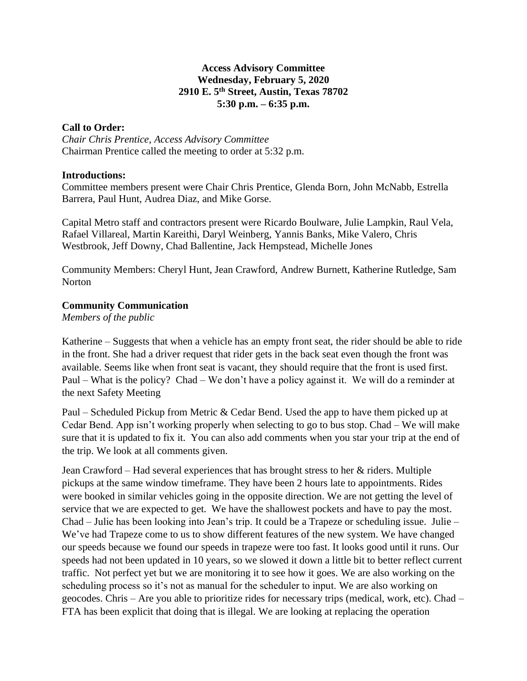## **Access Advisory Committee Wednesday, February 5, 2020 2910 E. 5th Street, Austin, Texas 78702 5:30 p.m. – 6:35 p.m.**

## **Call to Order:**

*Chair Chris Prentice, Access Advisory Committee* Chairman Prentice called the meeting to order at 5:32 p.m.

#### **Introductions:**

Committee members present were Chair Chris Prentice, Glenda Born, John McNabb, Estrella Barrera, Paul Hunt, Audrea Diaz, and Mike Gorse.

Capital Metro staff and contractors present were Ricardo Boulware, Julie Lampkin, Raul Vela, Rafael Villareal, Martin Kareithi, Daryl Weinberg, Yannis Banks, Mike Valero, Chris Westbrook, Jeff Downy, Chad Ballentine, Jack Hempstead, Michelle Jones

Community Members: Cheryl Hunt, Jean Crawford, Andrew Burnett, Katherine Rutledge, Sam **Norton** 

# **Community Communication**

*Members of the public*

Katherine – Suggests that when a vehicle has an empty front seat, the rider should be able to ride in the front. She had a driver request that rider gets in the back seat even though the front was available. Seems like when front seat is vacant, they should require that the front is used first. Paul – What is the policy? Chad – We don't have a policy against it. We will do a reminder at the next Safety Meeting

Paul – Scheduled Pickup from Metric & Cedar Bend. Used the app to have them picked up at Cedar Bend. App isn't working properly when selecting to go to bus stop. Chad – We will make sure that it is updated to fix it. You can also add comments when you star your trip at the end of the trip. We look at all comments given.

Jean Crawford – Had several experiences that has brought stress to her & riders. Multiple pickups at the same window timeframe. They have been 2 hours late to appointments. Rides were booked in similar vehicles going in the opposite direction. We are not getting the level of service that we are expected to get. We have the shallowest pockets and have to pay the most. Chad – Julie has been looking into Jean's trip. It could be a Trapeze or scheduling issue. Julie – We've had Trapeze come to us to show different features of the new system. We have changed our speeds because we found our speeds in trapeze were too fast. It looks good until it runs. Our speeds had not been updated in 10 years, so we slowed it down a little bit to better reflect current traffic. Not perfect yet but we are monitoring it to see how it goes. We are also working on the scheduling process so it's not as manual for the scheduler to input. We are also working on geocodes. Chris – Are you able to prioritize rides for necessary trips (medical, work, etc). Chad – FTA has been explicit that doing that is illegal. We are looking at replacing the operation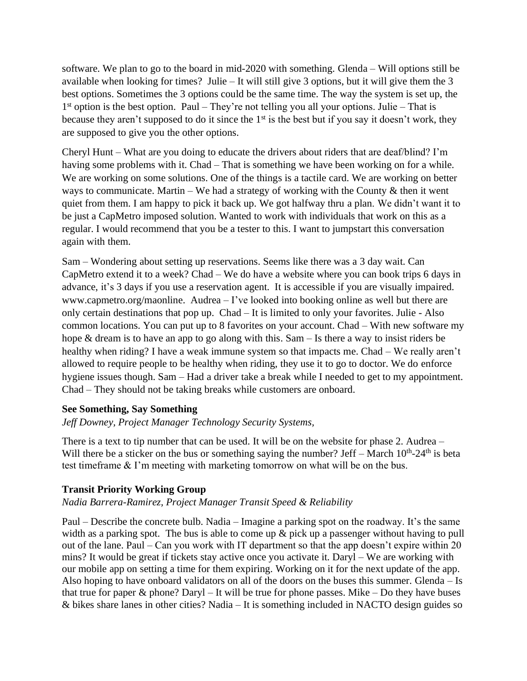software. We plan to go to the board in mid-2020 with something. Glenda – Will options still be available when looking for times? Julie – It will still give 3 options, but it will give them the 3 best options. Sometimes the 3 options could be the same time. The way the system is set up, the 1<sup>st</sup> option is the best option. Paul – They're not telling you all your options. Julie – That is because they aren't supposed to do it since the 1<sup>st</sup> is the best but if you say it doesn't work, they are supposed to give you the other options.

Cheryl Hunt – What are you doing to educate the drivers about riders that are deaf/blind? I'm having some problems with it. Chad – That is something we have been working on for a while. We are working on some solutions. One of the things is a tactile card. We are working on better ways to communicate. Martin – We had a strategy of working with the County  $\&$  then it went quiet from them. I am happy to pick it back up. We got halfway thru a plan. We didn't want it to be just a CapMetro imposed solution. Wanted to work with individuals that work on this as a regular. I would recommend that you be a tester to this. I want to jumpstart this conversation again with them.

Sam – Wondering about setting up reservations. Seems like there was a 3 day wait. Can CapMetro extend it to a week? Chad – We do have a website where you can book trips 6 days in advance, it's 3 days if you use a reservation agent. It is accessible if you are visually impaired. www.capmetro.org/maonline. Audrea – I've looked into booking online as well but there are only certain destinations that pop up. Chad – It is limited to only your favorites. Julie - Also common locations. You can put up to 8 favorites on your account. Chad – With new software my hope & dream is to have an app to go along with this. Sam – Is there a way to insist riders be healthy when riding? I have a weak immune system so that impacts me. Chad – We really aren't allowed to require people to be healthy when riding, they use it to go to doctor. We do enforce hygiene issues though. Sam – Had a driver take a break while I needed to get to my appointment. Chad – They should not be taking breaks while customers are onboard.

#### **See Something, Say Something**

#### *Jeff Downey, Project Manager Technology Security Systems,*

There is a text to tip number that can be used. It will be on the website for phase 2. Audrea – Will there be a sticker on the bus or something saying the number? Jeff  $-$  March  $10<sup>th</sup>$ -24<sup>th</sup> is beta test timeframe & I'm meeting with marketing tomorrow on what will be on the bus.

#### **Transit Priority Working Group**

## *Nadia Barrera-Ramirez, Project Manager Transit Speed & Reliability*

Paul – Describe the concrete bulb. Nadia – Imagine a parking spot on the roadway. It's the same width as a parking spot. The bus is able to come up & pick up a passenger without having to pull out of the lane. Paul – Can you work with IT department so that the app doesn't expire within 20 mins? It would be great if tickets stay active once you activate it. Daryl – We are working with our mobile app on setting a time for them expiring. Working on it for the next update of the app. Also hoping to have onboard validators on all of the doors on the buses this summer. Glenda – Is that true for paper  $\&$  phone? Daryl – It will be true for phone passes. Mike – Do they have buses & bikes share lanes in other cities? Nadia – It is something included in NACTO design guides so